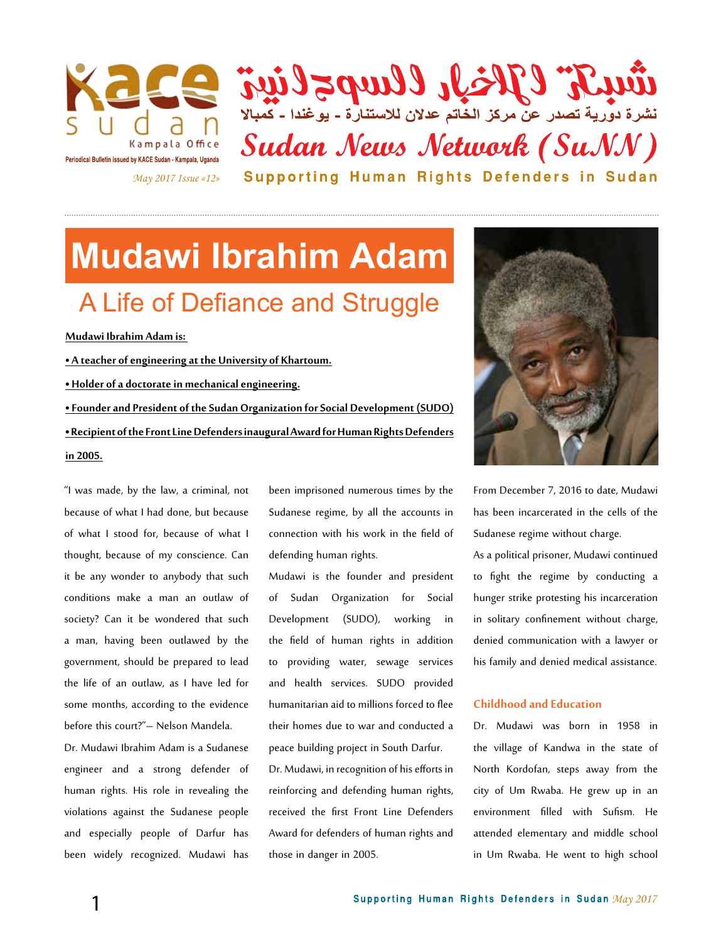

تَثْقَلِلِيمَ وَالْمَسْكُورِ وَالْمَسْكُورِ وَالْمَسْتَارِةِ - يَوْغَنُدَا - تَعْبَالَا Sudan News Network (SuNN) Supporting Human Rights Defenders in Sudan

## **Mudawi Ibrahim Adam**  A Life of Defiance and Struggle

**Mudawi Ibrahim Adam is:** 

**• A teacher of engineering at the University of Khartoum. • Holder of a doctorate in mechanical engineering. • Founder and President of the Sudan Organization for Social Development (SUDO) • Recipient of the Front Line Defenders inaugural Award for Human Rights Defenders in 2005.**

"I was made, by the law, a criminal, not because of what I had done, but because of what I stood for, because of what I thought, because of my conscience. Can it be any wonder to anybody that such conditions make a man an outlaw of society? Can it be wondered that such a man, having been outlawed by the government, should be prepared to lead the life of an outlaw, as I have led for some months, according to the evidence before this court?"– Nelson Mandela.

Dr. Mudawi Ibrahim Adam is a Sudanese engineer and a strong defender of human rights. His role in revealing the violations against the Sudanese people and especially people of Darfur has been widely recognized. Mudawi has

been imprisoned numerous times by the Sudanese regime, by all the accounts in connection with his work in the field of defending human rights.

Mudawi is the founder and president of Sudan Organization for Social Development (SUDO), working in the field of human rights in addition to providing water, sewage services and health services. SUDO provided humanitarian aid to millions forced to flee their homes due to war and conducted a peace building project in South Darfur. Dr. Mudawi, in recognition of his efforts in reinforcing and defending human rights, received the first Front Line Defenders Award for defenders of human rights and those in danger in 2005.



From December 7, 2016 to date, Mudawi has been incarcerated in the cells of the Sudanese regime without charge.

As a political prisoner, Mudawi continued to fight the regime by conducting a hunger strike protesting his incarceration in solitary confinement without charge, denied communication with a lawyer or his family and denied medical assistance.

#### **Childhood and Education**

Dr. Mudawi was born in 1958 in the village of Kandwa in the state of North Kordofan, steps away from the city of Um Rwaba. He grew up in an environment filled with Sufism. He attended elementary and middle school in Um Rwaba. He went to high school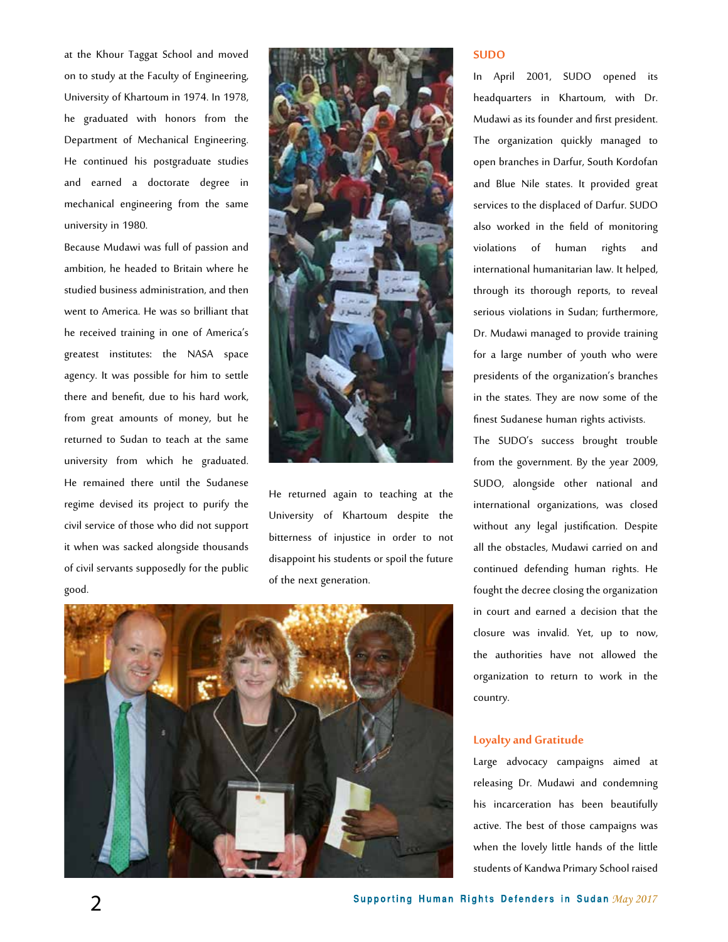at the Khour Taggat School and moved on to study at the Faculty of Engineering, University of Khartoum in 1974. In 1978, he graduated with honors from the Department of Mechanical Engineering. He continued his postgraduate studies and earned a doctorate degree in mechanical engineering from the same university in 1980.

Because Mudawi was full of passion and ambition, he headed to Britain where he studied business administration, and then went to America. He was so brilliant that he received training in one of America's greatest institutes: the NASA space agency. It was possible for him to settle there and benefit, due to his hard work, from great amounts of money, but he returned to Sudan to teach at the same university from which he graduated. He remained there until the Sudanese regime devised its project to purify the civil service of those who did not support it when was sacked alongside thousands of civil servants supposedly for the public good.



He returned again to teaching at the University of Khartoum despite the bitterness of injustice in order to not disappoint his students or spoil the future of the next generation.



#### **SUDO**

In April 2001, SUDO opened its headquarters in Khartoum, with Dr. Mudawi as its founder and first president. The organization quickly managed to open branches in Darfur, South Kordofan and Blue Nile states. It provided great services to the displaced of Darfur. SUDO also worked in the field of monitoring violations of human rights and international humanitarian law. It helped, through its thorough reports, to reveal serious violations in Sudan; furthermore, Dr. Mudawi managed to provide training for a large number of youth who were presidents of the organization's branches in the states. They are now some of the finest Sudanese human rights activists.

The SUDO's success brought trouble from the government. By the year 2009, SUDO, alongside other national and international organizations, was closed without any legal justification. Despite all the obstacles, Mudawi carried on and continued defending human rights. He fought the decree closing the organization in court and earned a decision that the closure was invalid. Yet, up to now, the authorities have not allowed the organization to return to work in the country.

#### **Loyalty and Gratitude**

Large advocacy campaigns aimed at releasing Dr. Mudawi and condemning his incarceration has been beautifully active. The best of those campaigns was when the lovely little hands of the little students of Kandwa Primary School raised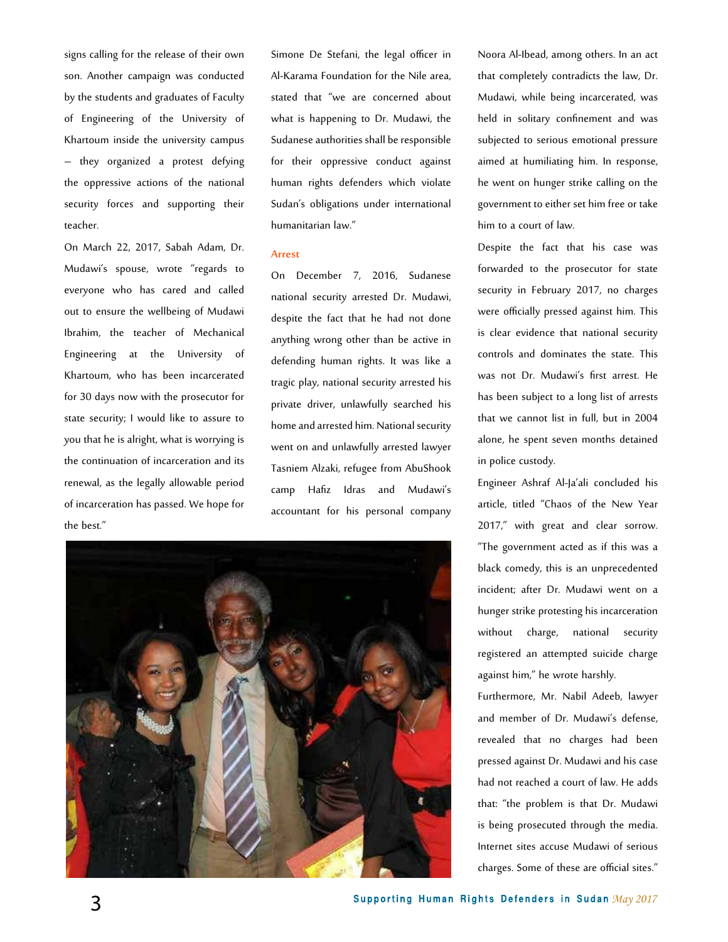signs calling for the release of their own son. Another campaign was conducted by the students and graduates of Faculty of Engineering of the University of Khartoum inside the university campus – they organized a protest defying the oppressive actions of the national security forces and supporting their teacher.

On March 22, 2017, Sabah Adam, Dr. Mudawi's spouse, wrote "regards to everyone who has cared and called out to ensure the wellbeing of Mudawi Ibrahim, the teacher of Mechanical Engineering at the University of Khartoum, who has been incarcerated for 30 days now with the prosecutor for state security; I would like to assure to you that he is alright, what is worrying is the continuation of incarceration and its renewal, as the legally allowable period of incarceration has passed. We hope for the best."

Simone De Stefani, the legal officer in Al-Karama Foundation for the Nile area, stated that "we are concerned about what is happening to Dr. Mudawi, the Sudanese authorities shall be responsible for their oppressive conduct against human rights defenders which violate Sudan's obligations under international humanitarian law."

#### **Arrest**

On December 7, 2016, Sudanese national security arrested Dr. Mudawi, despite the fact that he had not done anything wrong other than be active in defending human rights. It was like a tragic play, national security arrested his private driver, unlawfully searched his home and arrested him. National security went on and unlawfully arrested lawyer Tasniem Alzaki, refugee from AbuShook camp Hafiz Idras and Mudawi's accountant for his personal company



Noora Al-Ibead, among others. In an act that completely contradicts the law, Dr. Mudawi, while being incarcerated, was held in solitary confinement and was subjected to serious emotional pressure aimed at humiliating him. In response, he went on hunger strike calling on the government to either set him free or take him to a court of law.

Despite the fact that his case was forwarded to the prosecutor for state security in February 2017, no charges were officially pressed against him. This is clear evidence that national security controls and dominates the state. This was not Dr. Mudawi's first arrest. He has been subject to a long list of arrests that we cannot list in full, but in 2004 alone, he spent seven months detained in police custody.

Engineer Ashraf Al-Ja'ali concluded his article, titled "Chaos of the New Year 2017," with great and clear sorrow. "The government acted as if this was a black comedy, this is an unprecedented incident; after Dr. Mudawi went on a hunger strike protesting his incarceration without charge, national security registered an attempted suicide charge against him," he wrote harshly.

Furthermore, Mr. Nabil Adeeb, lawyer and member of Dr. Mudawi's defense, revealed that no charges had been pressed against Dr. Mudawi and his case had not reached a court of law. He adds that: "the problem is that Dr. Mudawi is being prosecuted through the media. Internet sites accuse Mudawi of serious charges. Some of these are official sites."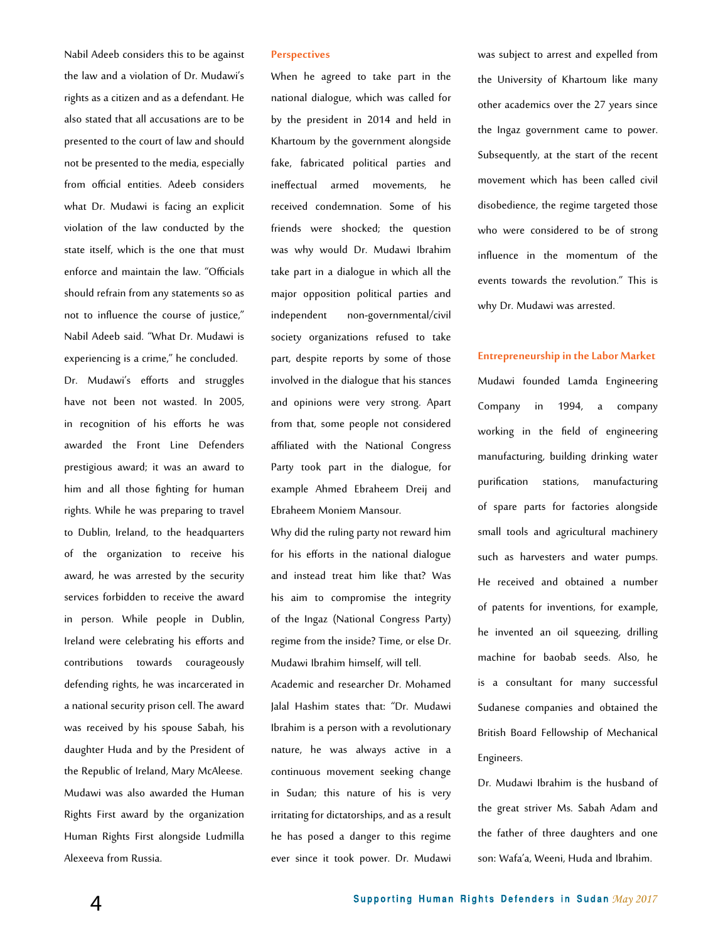Nabil Adeeb considers this to be against the law and a violation of Dr. Mudawi's rights as a citizen and as a defendant. He also stated that all accusations are to be presented to the court of law and should not be presented to the media, especially from official entities. Adeeb considers what Dr. Mudawi is facing an explicit violation of the law conducted by the state itself, which is the one that must enforce and maintain the law. "Officials should refrain from any statements so as not to influence the course of justice," Nabil Adeeb said. "What Dr. Mudawi is experiencing is a crime," he concluded. Dr. Mudawi's efforts and struggles have not been not wasted. In 2005, in recognition of his efforts he was awarded the Front Line Defenders prestigious award; it was an award to him and all those fighting for human rights. While he was preparing to travel to Dublin, Ireland, to the headquarters of the organization to receive his award, he was arrested by the security services forbidden to receive the award in person. While people in Dublin, Ireland were celebrating his efforts and contributions towards courageously defending rights, he was incarcerated in a national security prison cell. The award was received by his spouse Sabah, his daughter Huda and by the President of the Republic of Ireland, Mary McAleese. Mudawi was also awarded the Human Rights First award by the organization Human Rights First alongside Ludmilla Alexeeva from Russia.

#### **Perspectives**

When he agreed to take part in the national dialogue, which was called for by the president in 2014 and held in Khartoum by the government alongside fake, fabricated political parties and ineffectual armed movements, he received condemnation. Some of his friends were shocked; the question was why would Dr. Mudawi Ibrahim take part in a dialogue in which all the major opposition political parties and independent non-governmental/civil society organizations refused to take part, despite reports by some of those involved in the dialogue that his stances and opinions were very strong. Apart from that, some people not considered affiliated with the National Congress Party took part in the dialogue, for example Ahmed Ebraheem Dreij and Ebraheem Moniem Mansour.

Why did the ruling party not reward him for his efforts in the national dialogue and instead treat him like that? Was his aim to compromise the integrity of the Ingaz (National Congress Party) regime from the inside? Time, or else Dr. Mudawi Ibrahim himself, will tell. Academic and researcher Dr. Mohamed Jalal Hashim states that: "Dr. Mudawi Ibrahim is a person with a revolutionary nature, he was always active in a continuous movement seeking change in Sudan; this nature of his is very irritating for dictatorships, and as a result he has posed a danger to this regime ever since it took power. Dr. Mudawi was subject to arrest and expelled from the University of Khartoum like many other academics over the 27 years since the Ingaz government came to power. Subsequently, at the start of the recent movement which has been called civil disobedience, the regime targeted those who were considered to be of strong influence in the momentum of the events towards the revolution." This is why Dr. Mudawi was arrested.

#### **Entrepreneurship in the Labor Market**

Mudawi founded Lamda Engineering Company in 1994, a company working in the field of engineering manufacturing, building drinking water purification stations, manufacturing of spare parts for factories alongside small tools and agricultural machinery such as harvesters and water pumps. He received and obtained a number of patents for inventions, for example, he invented an oil squeezing, drilling machine for baobab seeds. Also, he is a consultant for many successful Sudanese companies and obtained the British Board Fellowship of Mechanical Engineers.

Dr. Mudawi Ibrahim is the husband of the great striver Ms. Sabah Adam and the father of three daughters and one son: Wafa'a, Weeni, Huda and Ibrahim.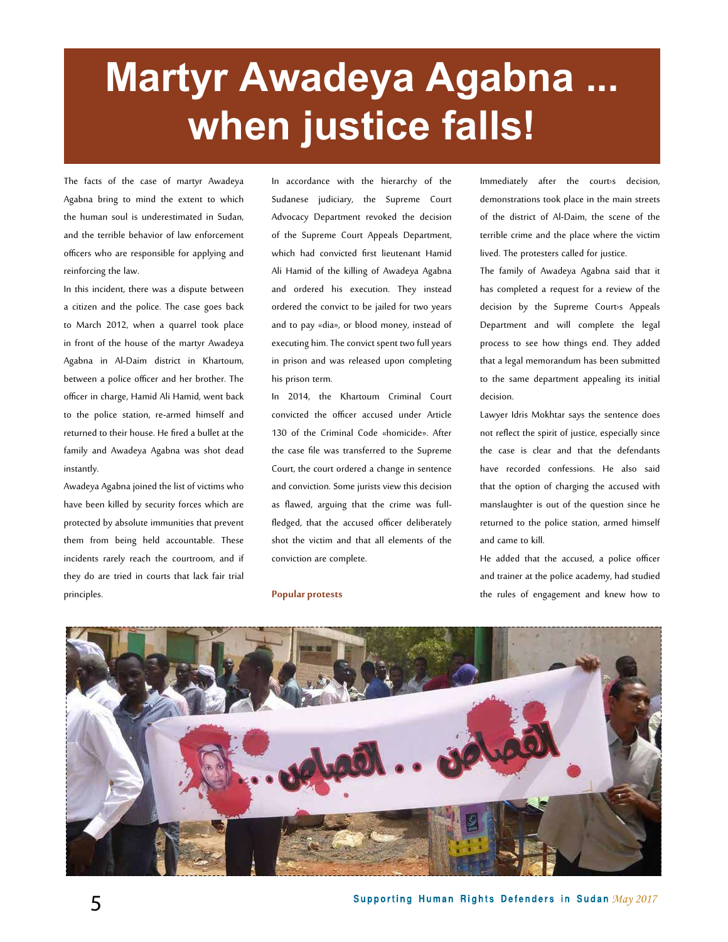# **Martyr Awadeya Agabna when justice falls!**

The facts of the case of martyr Awadeya Agabna bring to mind the extent to which the human soul is underestimated in Sudan, and the terrible behavior of law enforcement officers who are responsible for applying and reinforcing the law.

In this incident, there was a dispute between a citizen and the police. The case goes back to March 2012, when a quarrel took place in front of the house of the martyr Awadeya Agabna in Al-Daim district in Khartoum, between a police officer and her brother. The officer in charge, Hamid Ali Hamid, went back to the police station, re-armed himself and returned to their house. He fired a bullet at the family and Awadeya Agabna was shot dead instantly.

Awadeya Agabna joined the list of victims who have been killed by security forces which are protected by absolute immunities that prevent them from being held accountable. These incidents rarely reach the courtroom, and if they do are tried in courts that lack fair trial principles.

In accordance with the hierarchy of the Sudanese judiciary, the Supreme Court Advocacy Department revoked the decision of the Supreme Court Appeals Department, which had convicted first lieutenant Hamid Ali Hamid of the killing of Awadeya Agabna and ordered his execution. They instead ordered the convict to be jailed for two years and to pay «dia», or blood money, instead of executing him. The convict spent two full years in prison and was released upon completing his prison term.

In 2014, the Khartoum Criminal Court convicted the officer accused under Article 130 of the Criminal Code «homicide». After the case file was transferred to the Supreme Court, the court ordered a change in sentence and conviction. Some jurists view this decision as flawed, arguing that the crime was fullfledged, that the accused officer deliberately shot the victim and that all elements of the conviction are complete.

**Popular protests**

Immediately after the court›s decision, demonstrations took place in the main streets of the district of Al-Daim, the scene of the terrible crime and the place where the victim lived. The protesters called for justice.

The family of Awadeya Agabna said that it has completed a request for a review of the decision by the Supreme Court>s Appeals Department and will complete the legal process to see how things end. They added that a legal memorandum has been submitted to the same department appealing its initial decision.

Lawyer Idris Mokhtar says the sentence does not reflect the spirit of justice, especially since the case is clear and that the defendants have recorded confessions. He also said that the option of charging the accused with manslaughter is out of the question since he returned to the police station, armed himself and came to kill.

He added that the accused, a police officer and trainer at the police academy, had studied the rules of engagement and knew how to



**5 May 2017 May 2017 May 2017 May 2017 May 2017 May 2017**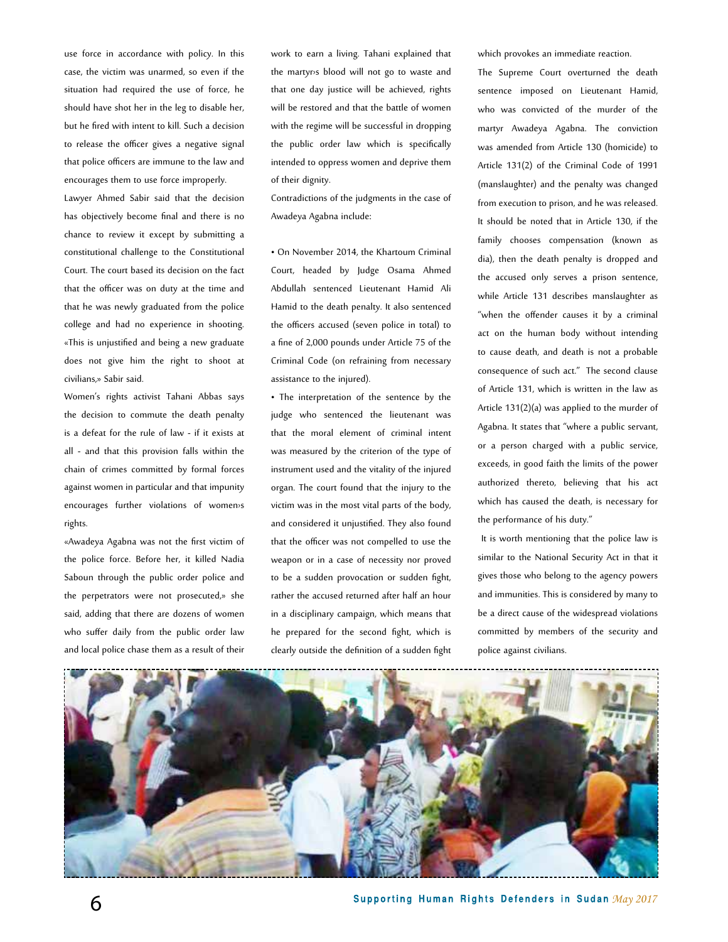use force in accordance with policy. In this case, the victim was unarmed, so even if the situation had required the use of force, he should have shot her in the leg to disable her, but he fired with intent to kill. Such a decision to release the officer gives a negative signal that police officers are immune to the law and encourages them to use force improperly.

Lawyer Ahmed Sabir said that the decision has objectively become final and there is no chance to review it except by submitting a constitutional challenge to the Constitutional Court. The court based its decision on the fact that the officer was on duty at the time and that he was newly graduated from the police college and had no experience in shooting. «This is unjustified and being a new graduate does not give him the right to shoot at civilians,» Sabir said.

Women's rights activist Tahani Abbas says the decision to commute the death penalty is a defeat for the rule of law - if it exists at all - and that this provision falls within the chain of crimes committed by formal forces against women in particular and that impunity encourages further violations of women›s rights.

«Awadeya Agabna was not the first victim of the police force. Before her, it killed Nadia Saboun through the public order police and the perpetrators were not prosecuted,» she said, adding that there are dozens of women who suffer daily from the public order law and local police chase them as a result of their

work to earn a living. Tahani explained that the martyr›s blood will not go to waste and that one day justice will be achieved, rights will be restored and that the battle of women with the regime will be successful in dropping the public order law which is specifically intended to oppress women and deprive them of their dignity.

Contradictions of the judgments in the case of Awadeya Agabna include:

• On November 2014, the Khartoum Criminal Court, headed by Judge Osama Ahmed Abdullah sentenced Lieutenant Hamid Ali Hamid to the death penalty. It also sentenced the officers accused (seven police in total) to a fine of 2,000 pounds under Article 75 of the Criminal Code (on refraining from necessary assistance to the injured).

• The interpretation of the sentence by the judge who sentenced the lieutenant was that the moral element of criminal intent was measured by the criterion of the type of instrument used and the vitality of the injured organ. The court found that the injury to the victim was in the most vital parts of the body, and considered it unjustified. They also found that the officer was not compelled to use the weapon or in a case of necessity nor proved to be a sudden provocation or sudden fight, rather the accused returned after half an hour in a disciplinary campaign, which means that he prepared for the second fight, which is clearly outside the definition of a sudden fight

which provokes an immediate reaction.

The Supreme Court overturned the death sentence imposed on Lieutenant Hamid, who was convicted of the murder of the martyr Awadeya Agabna. The conviction was amended from Article 130 (homicide) to Article 131(2) of the Criminal Code of 1991 (manslaughter) and the penalty was changed from execution to prison, and he was released. It should be noted that in Article 130, if the family chooses compensation (known as dia), then the death penalty is dropped and the accused only serves a prison sentence, while Article 131 describes manslaughter as "when the offender causes it by a criminal act on the human body without intending to cause death, and death is not a probable consequence of such act." The second clause of Article 131, which is written in the law as Article 131(2)(a) was applied to the murder of Agabna. It states that "where a public servant, or a person charged with a public service, exceeds, in good faith the limits of the power authorized thereto, believing that his act which has caused the death, is necessary for the performance of his duty."

 It is worth mentioning that the police law is similar to the National Security Act in that it gives those who belong to the agency powers and immunities. This is considered by many to be a direct cause of the widespread violations committed by members of the security and police against civilians.

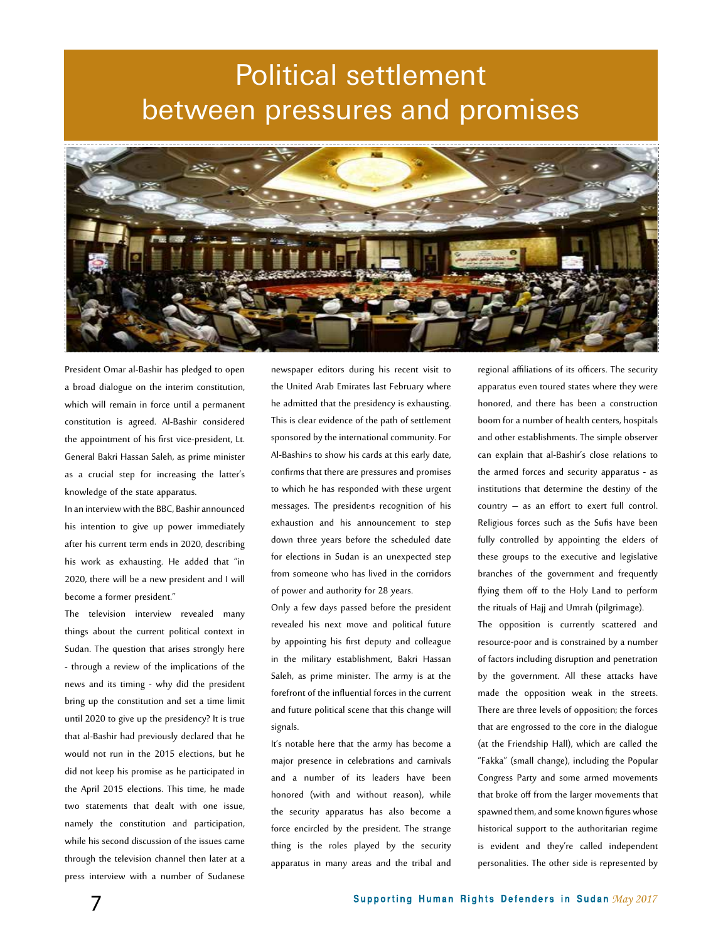### Political settlement between pressures and promises



President Omar al-Bashir has pledged to open a broad dialogue on the interim constitution, which will remain in force until a permanent constitution is agreed. Al-Bashir considered the appointment of his first vice-president, Lt. General Bakri Hassan Saleh, as prime minister as a crucial step for increasing the latter's knowledge of the state apparatus.

In an interview with the BBC, Bashir announced his intention to give up power immediately after his current term ends in 2020, describing his work as exhausting. He added that "in 2020, there will be a new president and I will become a former president."

The television interview revealed many things about the current political context in Sudan. The question that arises strongly here - through a review of the implications of the news and its timing - why did the president bring up the constitution and set a time limit until 2020 to give up the presidency? It is true that al-Bashir had previously declared that he would not run in the 2015 elections, but he did not keep his promise as he participated in the April 2015 elections. This time, he made two statements that dealt with one issue, namely the constitution and participation, while his second discussion of the issues came through the television channel then later at a press interview with a number of Sudanese

newspaper editors during his recent visit to the United Arab Emirates last February where he admitted that the presidency is exhausting. This is clear evidence of the path of settlement sponsored by the international community. For Al-Bashir›s to show his cards at this early date, confirms that there are pressures and promises to which he has responded with these urgent messages. The president›s recognition of his exhaustion and his announcement to step down three years before the scheduled date for elections in Sudan is an unexpected step from someone who has lived in the corridors of power and authority for 28 years.

Only a few days passed before the president revealed his next move and political future by appointing his first deputy and colleague in the military establishment, Bakri Hassan Saleh, as prime minister. The army is at the forefront of the influential forces in the current and future political scene that this change will signals.

It's notable here that the army has become a major presence in celebrations and carnivals and a number of its leaders have been honored (with and without reason), while the security apparatus has also become a force encircled by the president. The strange thing is the roles played by the security apparatus in many areas and the tribal and

regional affiliations of its officers. The security apparatus even toured states where they were honored, and there has been a construction boom for a number of health centers, hospitals and other establishments. The simple observer can explain that al-Bashir's close relations to the armed forces and security apparatus - as institutions that determine the destiny of the country – as an effort to exert full control. Religious forces such as the Sufis have been fully controlled by appointing the elders of these groups to the executive and legislative branches of the government and frequently flying them off to the Holy Land to perform the rituals of Hajj and Umrah (pilgrimage).

The opposition is currently scattered and resource-poor and is constrained by a number of factors including disruption and penetration by the government. All these attacks have made the opposition weak in the streets. There are three levels of opposition; the forces that are engrossed to the core in the dialogue (at the Friendship Hall), which are called the "Fakka" (small change), including the Popular Congress Party and some armed movements that broke off from the larger movements that spawned them, and some known figures whose historical support to the authoritarian regime is evident and they're called independent personalities. The other side is represented by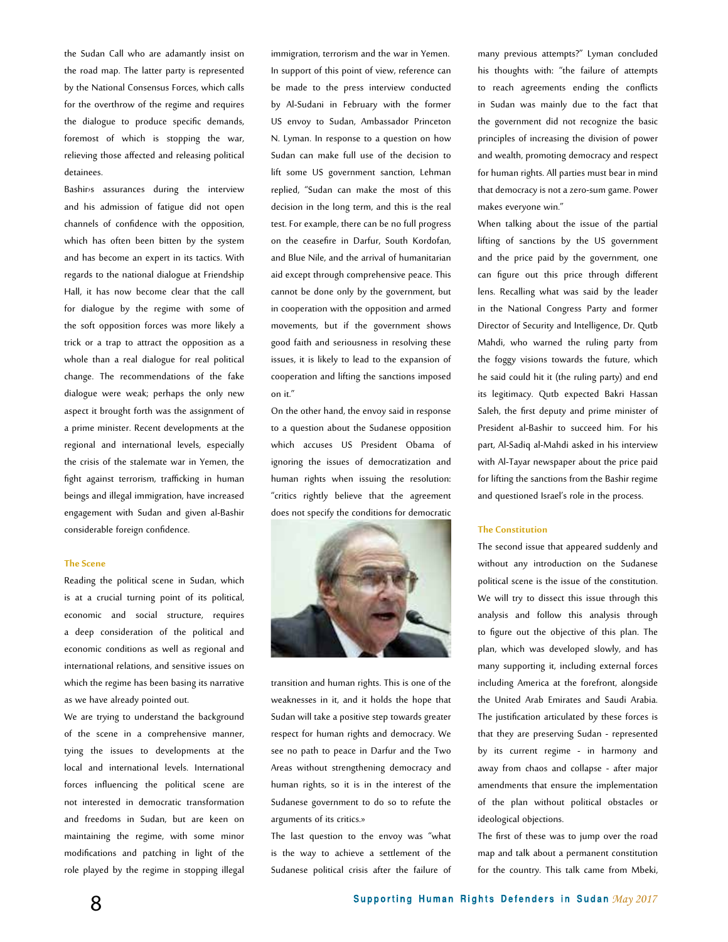the Sudan Call who are adamantly insist on the road map. The latter party is represented by the National Consensus Forces, which calls for the overthrow of the regime and requires the dialogue to produce specific demands, foremost of which is stopping the war, relieving those affected and releasing political detainees.

Bashir›s assurances during the interview and his admission of fatigue did not open channels of confidence with the opposition, which has often been bitten by the system and has become an expert in its tactics. With regards to the national dialogue at Friendship Hall, it has now become clear that the call for dialogue by the regime with some of the soft opposition forces was more likely a trick or a trap to attract the opposition as a whole than a real dialogue for real political change. The recommendations of the fake dialogue were weak; perhaps the only new aspect it brought forth was the assignment of a prime minister. Recent developments at the regional and international levels, especially the crisis of the stalemate war in Yemen, the fight against terrorism, trafficking in human beings and illegal immigration, have increased engagement with Sudan and given al-Bashir considerable foreign confidence.

#### **The Scene**

Reading the political scene in Sudan, which is at a crucial turning point of its political, economic and social structure, requires a deep consideration of the political and economic conditions as well as regional and international relations, and sensitive issues on which the regime has been basing its narrative as we have already pointed out.

We are trying to understand the background of the scene in a comprehensive manner, tying the issues to developments at the local and international levels. International forces influencing the political scene are not interested in democratic transformation and freedoms in Sudan, but are keen on maintaining the regime, with some minor modifications and patching in light of the role played by the regime in stopping illegal

immigration, terrorism and the war in Yemen. In support of this point of view, reference can be made to the press interview conducted by Al-Sudani in February with the former US envoy to Sudan, Ambassador Princeton N. Lyman. In response to a question on how Sudan can make full use of the decision to lift some US government sanction, Lehman replied, "Sudan can make the most of this decision in the long term, and this is the real test. For example, there can be no full progress on the ceasefire in Darfur, South Kordofan, and Blue Nile, and the arrival of humanitarian aid except through comprehensive peace. This cannot be done only by the government, but in cooperation with the opposition and armed movements, but if the government shows good faith and seriousness in resolving these issues, it is likely to lead to the expansion of cooperation and lifting the sanctions imposed on it."

On the other hand, the envoy said in response to a question about the Sudanese opposition which accuses US President Obama of ignoring the issues of democratization and human rights when issuing the resolution: "critics rightly believe that the agreement does not specify the conditions for democratic



transition and human rights. This is one of the weaknesses in it, and it holds the hope that Sudan will take a positive step towards greater respect for human rights and democracy. We see no path to peace in Darfur and the Two Areas without strengthening democracy and human rights, so it is in the interest of the Sudanese government to do so to refute the arguments of its critics.»

The last question to the envoy was "what is the way to achieve a settlement of the Sudanese political crisis after the failure of many previous attempts?" Lyman concluded his thoughts with: "the failure of attempts to reach agreements ending the conflicts in Sudan was mainly due to the fact that the government did not recognize the basic principles of increasing the division of power and wealth, promoting democracy and respect for human rights. All parties must bear in mind that democracy is not a zero-sum game. Power makes everyone win."

When talking about the issue of the partial lifting of sanctions by the US government and the price paid by the government, one can figure out this price through different lens. Recalling what was said by the leader in the National Congress Party and former Director of Security and Intelligence, Dr. Qutb Mahdi, who warned the ruling party from the foggy visions towards the future, which he said could hit it (the ruling party) and end its legitimacy. Qutb expected Bakri Hassan Saleh, the first deputy and prime minister of President al-Bashir to succeed him. For his part, Al-Sadiq al-Mahdi asked in his interview with Al-Tayar newspaper about the price paid for lifting the sanctions from the Bashir regime and questioned Israel's role in the process.

#### **The Constitution**

The second issue that appeared suddenly and without any introduction on the Sudanese political scene is the issue of the constitution. We will try to dissect this issue through this analysis and follow this analysis through to figure out the objective of this plan. The plan, which was developed slowly, and has many supporting it, including external forces including America at the forefront, alongside the United Arab Emirates and Saudi Arabia. The justification articulated by these forces is that they are preserving Sudan - represented by its current regime - in harmony and away from chaos and collapse - after major amendments that ensure the implementation of the plan without political obstacles or ideological objections.

The first of these was to jump over the road map and talk about a permanent constitution for the country. This talk came from Mbeki,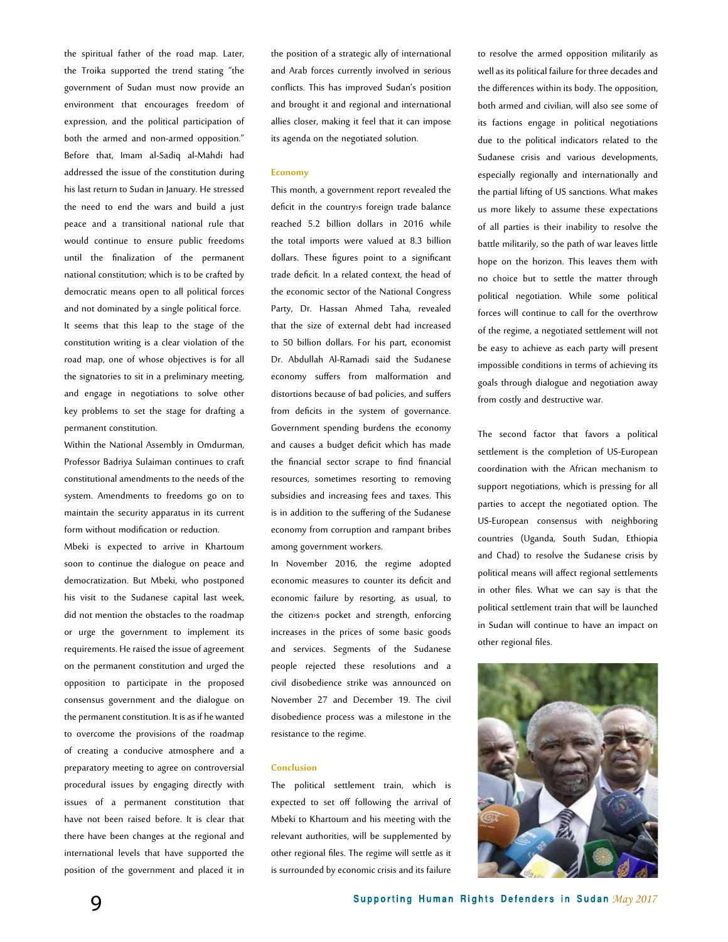the spiritual father of the road map. Later, the Troika supported the trend stating "the government of Sudan must now provide an environment that encourages freedom of expression, and the political participation of both the armed and non-armed opposition." Before that, Imam al-Sadiq al-Mahdi had addressed the issue of the constitution during his last return to Sudan in January. He stressed the need to end the wars and build a just peace and a transitional national rule that would continue to ensure public freedoms until the finalization of the permanent national constitution; which is to be crafted by democratic means open to all political forces and not dominated by a single political force. It seems that this leap to the stage of the constitution writing is a clear violation of the road map, one of whose objectives is for all the signatories to sit in a preliminary meeting, and engage in negotiations to solve other key problems to set the stage for drafting a permanent constitution.

Within the National Assembly in Omdurman, Professor Badriya Sulaiman continues to craft constitutional amendments to the needs of the system. Amendments to freedoms go on to maintain the security apparatus in its current form without modification or reduction.

Mbeki is expected to arrive in Khartoum soon to continue the dialogue on peace and democratization. But Mbeki, who postponed his visit to the Sudanese capital last week, did not mention the obstacles to the roadmap or urge the government to implement its requirements. He raised the issue of agreement on the permanent constitution and urged the opposition to participate in the proposed consensus government and the dialogue on the permanent constitution. It is as if he wanted to overcome the provisions of the roadmap of creating a conducive atmosphere and a preparatory meeting to agree on controversial procedural issues by engaging directly with issues of a permanent constitution that have not been raised before. It is clear that there have been changes at the regional and international levels that have supported the position of the government and placed it in

the position of a strategic ally of international and Arab forces currently involved in serious conflicts. This has improved Sudan's position and brought it and regional and international allies closer, making it feel that it can impose its agenda on the negotiated solution.

#### **Economy**

This month, a government report revealed the deficit in the country›s foreign trade balance reached 5.2 billion dollars in 2016 while the total imports were valued at 8.3 billion dollars. These figures point to a significant trade deficit. In a related context, the head of the economic sector of the National Congress Party, Dr. Hassan Ahmed Taha, revealed that the size of external debt had increased to 50 billion dollars. For his part, economist Dr. Abdullah Al-Ramadi said the Sudanese economy suffers from malformation and distortions because of bad policies, and suffers from deficits in the system of governance. Government spending burdens the economy and causes a budget deficit which has made the financial sector scrape to find financial resources, sometimes resorting to removing subsidies and increasing fees and taxes. This is in addition to the suffering of the Sudanese economy from corruption and rampant bribes among government workers.

In November 2016, the regime adopted economic measures to counter its deficit and economic failure by resorting, as usual, to the citizen›s pocket and strength, enforcing increases in the prices of some basic goods and services. Segments of the Sudanese people rejected these resolutions and a civil disobedience strike was announced on November 27 and December 19. The civil disobedience process was a milestone in the resistance to the regime.

#### **Conclusion**

The political settlement train, which is expected to set off following the arrival of Mbeki to Khartoum and his meeting with the relevant authorities, will be supplemented by other regional files. The regime will settle as it is surrounded by economic crisis and its failure

to resolve the armed opposition militarily as well as its political failure for three decades and the differences within its body. The opposition, both armed and civilian, will also see some of its factions engage in political negotiations due to the political indicators related to the Sudanese crisis and various developments, especially regionally and internationally and the partial lifting of US sanctions. What makes us more likely to assume these expectations of all parties is their inability to resolve the battle militarily, so the path of war leaves little hope on the horizon. This leaves them with no choice but to settle the matter through political negotiation. While some political forces will continue to call for the overthrow of the regime, a negotiated settlement will not be easy to achieve as each party will present impossible conditions in terms of achieving its goals through dialogue and negotiation away from costly and destructive war.

The second factor that favors a political settlement is the completion of US-European coordination with the African mechanism to support negotiations, which is pressing for all parties to accept the negotiated option. The US-European consensus with neighboring countries (Uganda, South Sudan, Ethiopia and Chad) to resolve the Sudanese crisis by political means will affect regional settlements in other files. What we can say is that the political settlement train that will be launched in Sudan will continue to have an impact on other regional files.

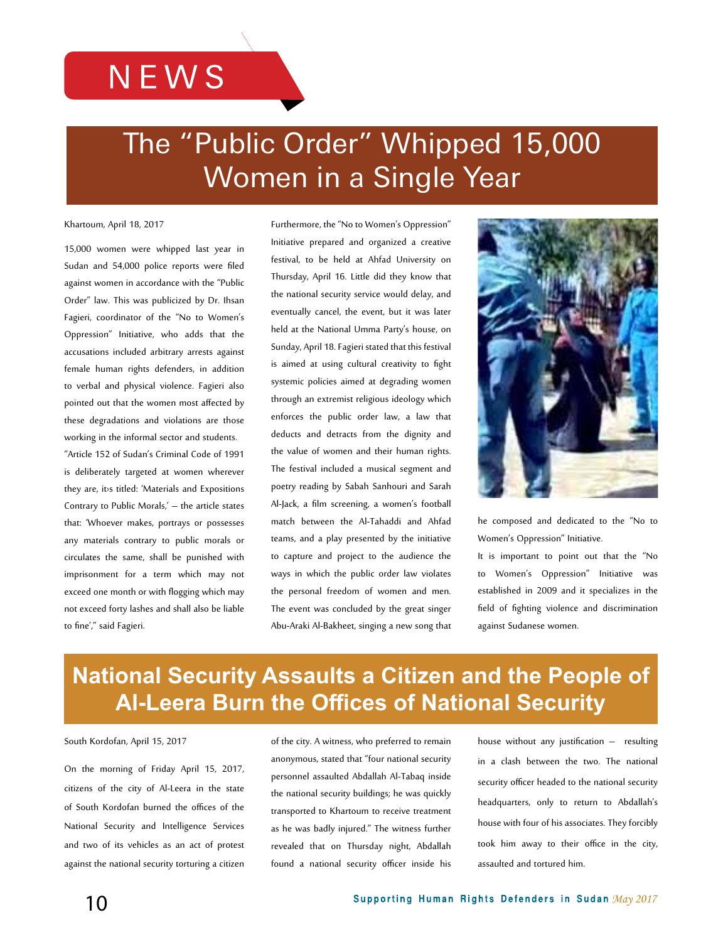### **NEWS**

## The "Public Order" Whipped 15,000 Women in a Single Year

Khartoum, April 18, 2017

15,000 women were whipped last year in Sudan and 54,000 police reports were filed against women in accordance with the "Public Order" law. This was publicized by Dr. Ihsan Fagieri, coordinator of the "No to Women's Oppression" Initiative, who adds that the accusations included arbitrary arrests against female human rights defenders, in addition to verbal and physical violence. Fagieri also pointed out that the women most affected by these degradations and violations are those working in the informal sector and students. "Article 152 of Sudan's Criminal Code of 1991 is deliberately targeted at women wherever they are, it>s titled: 'Materials and Expositions Contrary to Public Morals,' – the article states that: 'Whoever makes, portrays or possesses any materials contrary to public morals or circulates the same, shall be punished with imprisonment for a term which may not exceed one month or with flogging which may not exceed forty lashes and shall also be liable to fine'," said Fagieri.

Furthermore, the "No to Women's Oppression" Initiative prepared and organized a creative festival, to be held at Ahfad University on Thursday, April 16. Little did they know that the national security service would delay, and eventually cancel, the event, but it was later held at the National Umma Party's house, on Sunday, April 18. Fagieri stated that this festival is aimed at using cultural creativity to fight systemic policies aimed at degrading women through an extremist religious ideology which enforces the public order law, a law that deducts and detracts from the dignity and the value of women and their human rights. The festival included a musical segment and poetry reading by Sabah Sanhouri and Sarah Al-Jack, a film screening, a women's football match between the Al-Tahaddi and Ahfad teams, and a play presented by the initiative to capture and project to the audience the ways in which the public order law violates the personal freedom of women and men. The event was concluded by the great singer Abu-Araki Al-Bakheet, singing a new song that



he composed and dedicated to the "No to Women's Oppression" Initiative.

It is important to point out that the "No to Women's Oppression" Initiative was established in 2009 and it specializes in the field of fighting violence and discrimination against Sudanese women.

### **National Security Assaults a Citizen and the People of Al-Leera Burn the Offices of National Security**

South Kordofan, April 15, 2017

On the morning of Friday April 15, 2017, citizens of the city of Al-Leera in the state of South Kordofan burned the offices of the National Security and Intelligence Services and two of its vehicles as an act of protest against the national security torturing a citizen

of the city. A witness, who preferred to remain anonymous, stated that "four national security personnel assaulted Abdallah Al-Tabaq inside the national security buildings; he was quickly transported to Khartoum to receive treatment as he was badly injured." The witness further revealed that on Thursday night, Abdallah found a national security officer inside his

house without any justification – resulting in a clash between the two. The national security officer headed to the national security headquarters, only to return to Abdallah's house with four of his associates. They forcibly took him away to their office in the city, assaulted and tortured him.